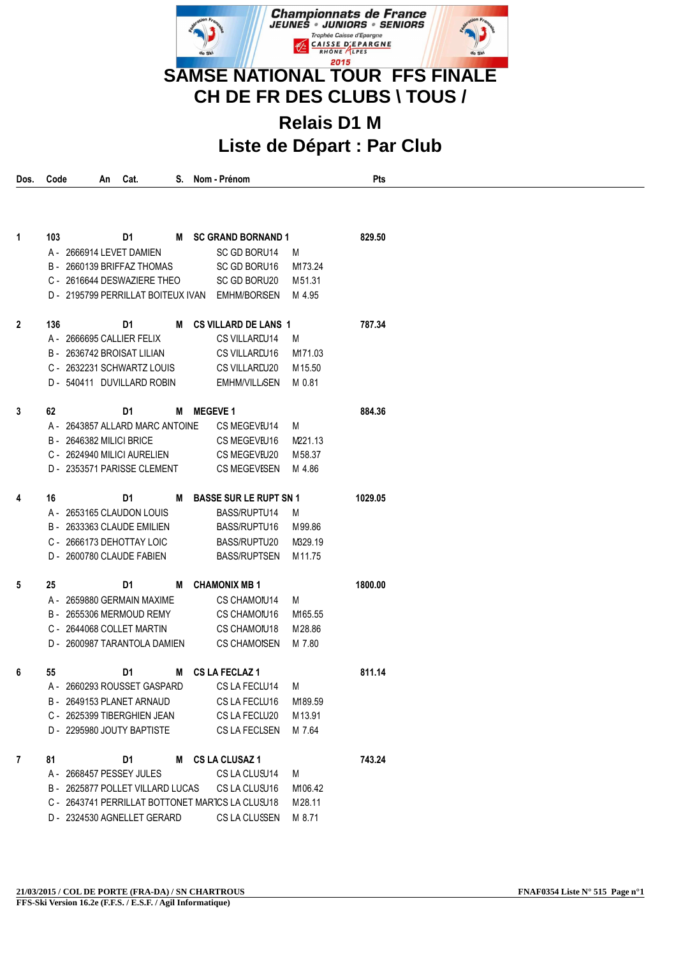

## **Relais D1 M Liste de Départ : Par Club**

| Dos.           | Code | An | Cat.                                                      |   | S. Nom - Prénom                                  |                  | Pts     |
|----------------|------|----|-----------------------------------------------------------|---|--------------------------------------------------|------------------|---------|
|                |      |    |                                                           |   |                                                  |                  |         |
|                |      |    |                                                           |   |                                                  |                  |         |
|                |      |    |                                                           |   |                                                  |                  |         |
| 1              | 103  |    | D1                                                        |   | M SC GRAND BORNAND 1                             |                  | 829.50  |
|                |      |    | A - 2666914 LEVET DAMIEN                                  |   | SC GD BORU14                                     | M                |         |
|                |      |    | B - 2660139 BRIFFAZ THOMAS<br>C - 2616644 DESWAZIERE THEO |   | SC GD BORU16                                     | M173.24          |         |
|                |      |    | D - 2195799 PERRILLAT BOITEUX IVAN                        |   | SC GD BORU20<br><b>EMHM/BORISEN</b>              | M51.31<br>M 4.95 |         |
|                |      |    |                                                           |   |                                                  |                  |         |
| $\overline{2}$ | 136  |    | D1                                                        | М | <b>CS VILLARD DE LANS 1</b>                      |                  | 787.34  |
|                |      |    | A - 2666695 CALLIER FELIX                                 |   | CS VILLAREU14                                    | M                |         |
|                |      |    | B - 2636742 BROISAT LILIAN                                |   | CS VILLAREU16                                    | M171.03          |         |
|                |      |    | C - 2632231 SCHWARTZ LOUIS                                |   | CS VILLAREU20                                    | M 15.50          |         |
|                |      |    | D - 540411 DUVILLARD ROBIN                                |   | <b>EMHM/VILL/SEN</b>                             | M 0.81           |         |
|                |      |    |                                                           |   |                                                  |                  |         |
| 3              | 62   |    | D1                                                        | М | <b>MEGEVE 1</b>                                  |                  | 884.36  |
|                |      |    | A - 2643857 ALLARD MARC ANTOINE                           |   | CS MEGEVEU14                                     | M                |         |
|                |      |    | B - 2646382 MILICI BRICE                                  |   | CS MEGEVEU16                                     | M221.13          |         |
|                |      |    | C - 2624940 MILICI AURELIEN                               |   | CS MEGEVEU20                                     | M58.37           |         |
|                |      |    | D - 2353571 PARISSE CLEMENT                               |   | <b>CS MEGEVESEN</b>                              | M 4.86           |         |
|                |      |    |                                                           |   |                                                  |                  |         |
| 4              | 16   |    | D1                                                        | м | <b>BASSE SUR LE RUPT SN 1</b>                    |                  | 1029.05 |
|                |      |    | A - 2653165 CLAUDON LOUIS                                 |   | BASS/RUPTU14                                     | M                |         |
|                |      |    | B - 2633363 CLAUDE EMILIEN                                |   | BASS/RUPTU16                                     | M99.86           |         |
|                |      |    | C - 2666173 DEHOTTAY LOIC                                 |   | BASS/RUPTU20                                     | M329.19          |         |
|                |      |    | D - 2600780 CLAUDE FABIEN                                 |   | <b>BASS/RUPTSEN</b>                              | M11.75           |         |
| 5              | 25   |    | D1                                                        | М | <b>CHAMONIX MB1</b>                              |                  | 1800.00 |
|                |      |    | A - 2659880 GERMAIN MAXIME                                |   | CS CHAMOIU14                                     | M                |         |
|                |      |    | B - 2655306 MERMOUD REMY                                  |   | CS CHAMOIU16                                     | M165.55          |         |
|                |      |    | C - 2644068 COLLET MARTIN                                 |   | CS CHAMOIU18                                     | M28.86           |         |
|                |      |    | D - 2600987 TARANTOLA DAMIEN                              |   | <b>CS CHAMOISEN</b>                              | M 7.80           |         |
|                |      |    |                                                           |   |                                                  |                  |         |
| 6              | 55   |    | D1                                                        | M | <b>CS LA FECLAZ 1</b>                            |                  | 811.14  |
|                |      |    | A - 2660293 ROUSSET GASPARD                               |   | CS LA FECLU14                                    | M                |         |
|                |      |    | B - 2649153 PLANET ARNAUD                                 |   | CS LA FECLU16                                    | M189.59          |         |
|                |      |    | C - 2625399 TIBERGHIEN JEAN                               |   | CS LA FECLU20                                    | M13.91           |         |
|                |      |    | D - 2295980 JOUTY BAPTISTE                                |   | CS LA FECLSEN                                    | M 7.64           |         |
| 7              | 81   |    | D1                                                        |   | M CS LA CLUSAZ 1                                 |                  | 743.24  |
|                |      |    | A - 2668457 PESSEY JULES                                  |   | CS LA CLUSU14                                    | M                |         |
|                |      |    | B - 2625877 POLLET VILLARD LUCAS                          |   | CS LA CLUSU16                                    | M106.42          |         |
|                |      |    |                                                           |   | C - 2643741 PERRILLAT BOTTONET MARICS LA CLUSU18 | M28.11           |         |
|                |      |    | D - 2324530 AGNELLET GERARD                               |   | CS LA CLUSSEN                                    | M 8.71           |         |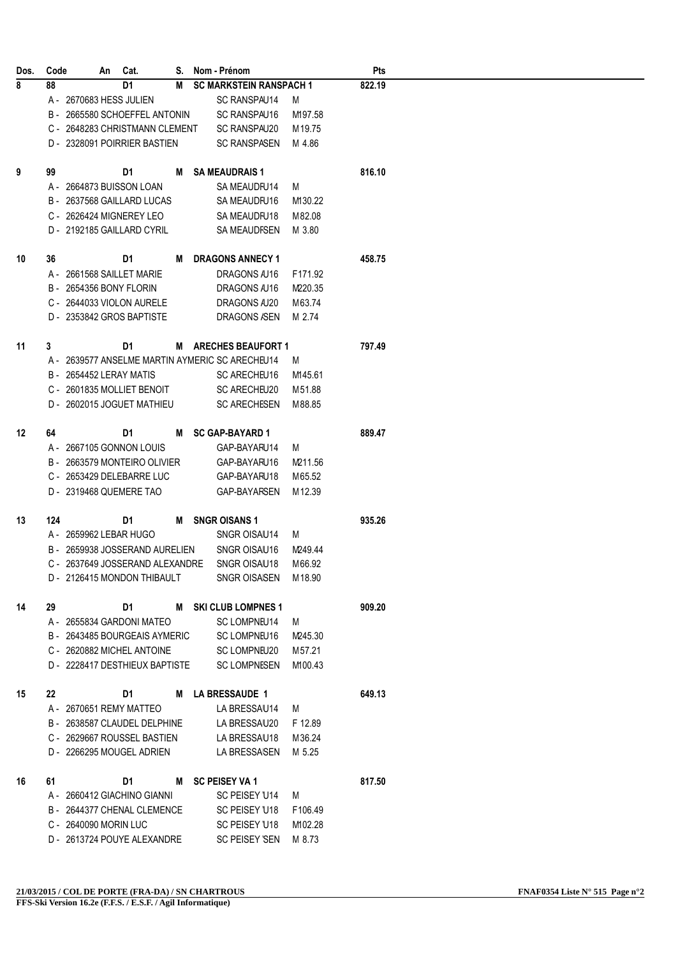| Dos. | Code |                                 | An Cat.                                                                                                                                                                                                                        |   | S. Nom - Prénom                                 |         | Pts    |  |
|------|------|---------------------------------|--------------------------------------------------------------------------------------------------------------------------------------------------------------------------------------------------------------------------------|---|-------------------------------------------------|---------|--------|--|
| 8    | 88   |                                 | D <sub>1</sub>                                                                                                                                                                                                                 | M | <b>SC MARKSTEIN RANSPACH 1</b>                  |         | 822.19 |  |
|      |      | A - 2670683 HESS JULIEN         |                                                                                                                                                                                                                                |   | SC RANSPAU14                                    | M       |        |  |
|      |      | B - 2665580 SCHOEFFEL ANTONIN   |                                                                                                                                                                                                                                |   | SC RANSPAU16                                    | M197.58 |        |  |
|      |      | C - 2648283 CHRISTMANN CLEMENT  |                                                                                                                                                                                                                                |   | SC RANSPAU20                                    | M 19.75 |        |  |
|      |      | D - 2328091 POIRRIER BASTIEN    |                                                                                                                                                                                                                                |   | <b>SC RANSPASEN</b>                             | M 4.86  |        |  |
|      |      |                                 |                                                                                                                                                                                                                                |   |                                                 |         |        |  |
| 9    | 99   |                                 | D1                                                                                                                                                                                                                             | M | <b>SA MEAUDRAIS 1</b>                           |         | 816.10 |  |
|      |      | A - 2664873 BUISSON LOAN        |                                                                                                                                                                                                                                |   | SA MEAUDFU14                                    | M       |        |  |
|      |      | B - 2637568 GAILLARD LUCAS      |                                                                                                                                                                                                                                |   | SA MEAUDFU16                                    | M130.22 |        |  |
|      |      | C - 2626424 MIGNEREY LEO        |                                                                                                                                                                                                                                |   | SA MEAUDFU18                                    | M 82.08 |        |  |
|      |      | D - 2192185 GAILLARD CYRIL      |                                                                                                                                                                                                                                |   | <b>SA MEAUDFSEN</b>                             | M 3.80  |        |  |
| 10   | 36   |                                 | D1                                                                                                                                                                                                                             | м | <b>DRAGONS ANNECY 1</b>                         |         | 458.75 |  |
|      |      | A - 2661568 SAILLET MARIE       |                                                                                                                                                                                                                                |   | DRAGONS /U16                                    | F171.92 |        |  |
|      |      | B - 2654356 BONY FLORIN         |                                                                                                                                                                                                                                |   | DRAGONS /U16                                    | M220.35 |        |  |
|      |      |                                 |                                                                                                                                                                                                                                |   |                                                 |         |        |  |
|      |      | C - 2644033 VIOLON AURELE       |                                                                                                                                                                                                                                |   | DRAGONS /U20                                    | M63.74  |        |  |
|      |      | D - 2353842 GROS BAPTISTE       |                                                                                                                                                                                                                                |   | DRAGONS /SEN                                    | M 2.74  |        |  |
| 11   | 3    |                                 | D1                                                                                                                                                                                                                             |   | M ARECHES BEAUFORT 1                            |         | 797.49 |  |
|      |      |                                 |                                                                                                                                                                                                                                |   | A - 2639577 ANSELME MARTIN AYMERIC SC ARECHEU14 | M       |        |  |
|      |      | B - 2654452 LERAY MATIS         |                                                                                                                                                                                                                                |   | <b>SC ARECHEU16</b>                             | M145.61 |        |  |
|      |      | C - 2601835 MOLLIET BENOIT      |                                                                                                                                                                                                                                |   | SC ARECHEU20                                    | M51.88  |        |  |
|      |      | D - 2602015 JOGUET MATHIEU      |                                                                                                                                                                                                                                |   | <b>SC ARECHESEN</b>                             | M 88.85 |        |  |
|      |      |                                 |                                                                                                                                                                                                                                |   |                                                 |         |        |  |
| 12   | 64   |                                 | D1                                                                                                                                                                                                                             | M | <b>SC GAP-BAYARD 1</b>                          |         | 889.47 |  |
|      |      | A - 2667105 GONNON LOUIS        |                                                                                                                                                                                                                                |   | GAP-BAYARU14                                    | M       |        |  |
|      |      | B - 2663579 MONTEIRO OLIVIER    |                                                                                                                                                                                                                                |   | GAP-BAYARU16                                    | M211.56 |        |  |
|      |      | C - 2653429 DELEBARRE LUC       |                                                                                                                                                                                                                                |   | GAP-BAYARU18                                    | M 65.52 |        |  |
|      |      | D - 2319468 QUEMERE TAO         |                                                                                                                                                                                                                                |   | <b>GAP-BAYARSEN</b>                             | M 12.39 |        |  |
|      |      |                                 |                                                                                                                                                                                                                                |   |                                                 |         |        |  |
| 13   | 124  |                                 | D1                                                                                                                                                                                                                             |   | M SNGR OISANS 1                                 |         | 935.26 |  |
|      |      | A - 2659962 LEBAR HUGO          |                                                                                                                                                                                                                                |   | SNGR OISAU14                                    | M       |        |  |
|      |      | B - 2659938 JOSSERAND AURELIEN  |                                                                                                                                                                                                                                |   | SNGR OISAU16                                    | M249.44 |        |  |
|      |      | C - 2637649 JOSSERAND ALEXANDRE |                                                                                                                                                                                                                                |   | SNGR OISAU18                                    | M66.92  |        |  |
|      |      | D - 2126415 MONDON THIBAULT     |                                                                                                                                                                                                                                |   | SNGR OISASEN M18.90                             |         |        |  |
| 14   | 29   |                                 |                                                                                                                                                                                                                                |   | D1 M SKI CLUB LOMPNES 1                         |         | 909.20 |  |
|      |      | A - 2655834 GARDONI MATEO       |                                                                                                                                                                                                                                |   | SC LOMPNEU14                                    | M       |        |  |
|      |      |                                 |                                                                                                                                                                                                                                |   | B - 2643485 BOURGEAIS AYMERIC SCLOMPNEU16       | M245.30 |        |  |
|      |      | C - 2620882 MICHEL ANTOINE      |                                                                                                                                                                                                                                |   | <b>SC LOMPNEU20</b>                             | M 57.21 |        |  |
|      |      |                                 |                                                                                                                                                                                                                                |   | D - 2228417 DESTHIEUX BAPTISTE SC LOMPNESEN     | M100.43 |        |  |
|      |      |                                 |                                                                                                                                                                                                                                |   |                                                 |         |        |  |
| 15   | 22   |                                 | D1                                                                                                                                                                                                                             |   | M LA BRESSAUDE 1                                |         | 649.13 |  |
|      |      | A - 2670651 REMY MATTEO         |                                                                                                                                                                                                                                |   | LA BRESSAU14                                    | M       |        |  |
|      |      | B - 2638587 CLAUDEL DELPHINE    |                                                                                                                                                                                                                                |   | LA BRESSAU20                                    | F 12.89 |        |  |
|      |      | C - 2629667 ROUSSEL BASTIEN     |                                                                                                                                                                                                                                |   | LA BRESSAU18                                    | M 36.24 |        |  |
|      |      | D - 2266295 MOUGEL ADRIEN       |                                                                                                                                                                                                                                |   | LA BRESSA\EN                                    | M 5.25  |        |  |
| 16   | 61   |                                 | D1 and the state of the state of the state of the state of the state of the state of the state of the state of the state of the state of the state of the state of the state of the state of the state of the state of the sta |   | M SC PEISEY VA 1                                |         | 817.50 |  |
|      |      | A - 2660412 GIACHINO GIANNI     |                                                                                                                                                                                                                                |   | SC PEISEY U14                                   | M       |        |  |
|      |      | B - 2644377 CHENAL CLEMENCE     |                                                                                                                                                                                                                                |   |                                                 | F106.49 |        |  |
|      |      |                                 |                                                                                                                                                                                                                                |   | SC PEISEY U18                                   |         |        |  |
|      |      | C - 2640090 MORIN LUC           |                                                                                                                                                                                                                                |   | SC PEISEY U18                                   | M102.28 |        |  |
|      |      | D - 2613724 POUYE ALEXANDRE     |                                                                                                                                                                                                                                |   | SC PEISEY SEN                                   | M 8.73  |        |  |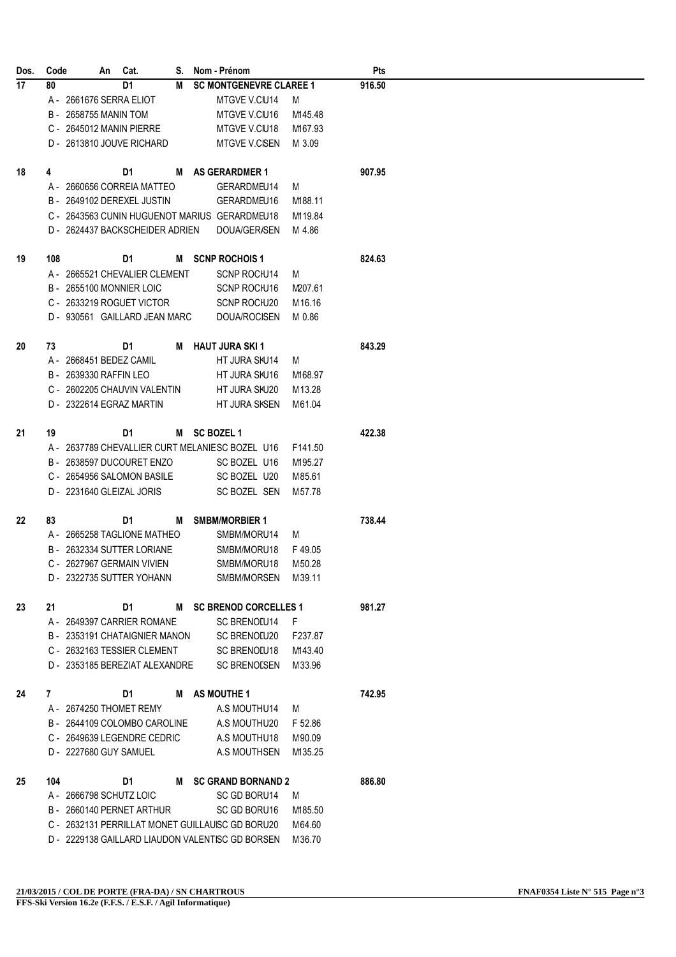| Dos. | Code |                           | An | Cat.                            | S. | Nom - Prénom                                     |          | Pts    |  |
|------|------|---------------------------|----|---------------------------------|----|--------------------------------------------------|----------|--------|--|
| 17   | 80   |                           |    | D <sub>1</sub>                  | M  | <b>SC MONTGENEVRE CLAREE 1</b>                   |          | 916.50 |  |
|      |      | A - 2661676 SERRA ELIOT   |    |                                 |    | MTGVE V.CIU14                                    | M        |        |  |
|      |      | B - 2658755 MANIN TOM     |    |                                 |    | MTGVE V.CIU16                                    | M145.48  |        |  |
|      |      | C - 2645012 MANIN PIERRE  |    |                                 |    | MTGVE V.CIU18                                    | M167.93  |        |  |
|      |      |                           |    | D - 2613810 JOUVE RICHARD       |    | <b>MTGVE V.CISEN</b>                             | M 3.09   |        |  |
| 18   | 4    |                           |    | D1                              |    | M AS GERARDMER 1                                 |          | 907.95 |  |
|      |      |                           |    | A - 2660656 CORREIA MATTEO      |    | GERARDMEU14                                      | M        |        |  |
|      |      |                           |    | B - 2649102 DEREXEL JUSTIN      |    | GERARDMEU16                                      | M188.11  |        |  |
|      |      |                           |    |                                 |    | C - 2643563 CUNIN HUGUENOT MARIUS GERARDMEU18    | M119.84  |        |  |
|      |      |                           |    | D - 2624437 BACKSCHEIDER ADRIEN |    | DOUA/GER/SEN                                     | M 4.86   |        |  |
| 19   | 108  |                           |    | D1                              |    | M SCNP ROCHOIS 1                                 |          | 824.63 |  |
|      |      |                           |    | A - 2665521 CHEVALIER CLEMENT   |    | SCNP ROCIU14                                     | M        |        |  |
|      |      | B - 2655100 MONNIER LOIC  |    |                                 |    | SCNP ROCIU16                                     | M207.61  |        |  |
|      |      |                           |    | C - 2633219 ROGUET VICTOR       |    | SCNP ROCIU20                                     | M 16.16  |        |  |
|      |      |                           |    | D - 930561 GAILLARD JEAN MARC   |    | DOUA/ROCISEN                                     | M 0.86   |        |  |
| 20   | 73   |                           |    | D1                              | M  | <b>HAUT JURA SKI1</b>                            |          | 843.29 |  |
|      |      | A - 2668451 BEDEZ CAMIL   |    |                                 |    | HT JURA SKU14                                    | M        |        |  |
|      |      | B - 2639330 RAFFIN LEO    |    |                                 |    | HT JURA SKU16                                    | M168.97  |        |  |
|      |      |                           |    | C - 2602205 CHAUVIN VALENTIN    |    | HT JURA SKU20                                    | M13.28   |        |  |
|      |      | D - 2322614 EGRAZ MARTIN  |    |                                 |    | HT JURA SKSEN                                    | M61.04   |        |  |
| 21   | 19   |                           |    | D1                              |    | M SC BOZEL 1                                     |          | 422.38 |  |
|      |      |                           |    |                                 |    | A - 2637789 CHEVALLIER CURT MELANIESC BOZEL U16  | F141.50  |        |  |
|      |      |                           |    | B - 2638597 DUCOURET ENZO       |    | SC BOZEL U16                                     | M195.27  |        |  |
|      |      |                           |    | C - 2654956 SALOMON BASILE      |    | SC BOZEL U20                                     | M85.61   |        |  |
|      |      | D - 2231640 GLEIZAL JORIS |    |                                 |    | SC BOZEL SEN                                     | M 57.78  |        |  |
| 22   | 83   |                           |    | D1                              | M  | <b>SMBM/MORBIER 1</b>                            |          | 738.44 |  |
|      |      |                           |    | A - 2665258 TAGLIONE MATHEO     |    | SMBM/MORU14                                      | M        |        |  |
|      | B -  |                           |    | 2632334 SUTTER LORIANE          |    | SMBM/MORU18                                      | F49.05   |        |  |
|      |      |                           |    | C - 2627967 GERMAIN VIVIEN      |    | SMBM/MORU18                                      | M 50.28  |        |  |
|      |      |                           |    | D - 2322735 SUTTER YOHANN       |    | SMBM/MORSEN M39.11                               |          |        |  |
| 23   | 21   |                           |    |                                 |    | D1 M SC BRENOD CORCELLES 1                       |          | 981.27 |  |
|      |      |                           |    | A - 2649397 CARRIER ROMANE      |    | SC BRENOLU14                                     | - F      |        |  |
|      |      |                           |    |                                 |    | B - 2353191 CHATAIGNIER MANON SC BRENOLU20       | F237.87  |        |  |
|      |      |                           |    | C - 2632163 TESSIER CLEMENT     |    | <b>SC BRENOLU18</b>                              | M143.40  |        |  |
|      |      |                           |    |                                 |    | D - 2353185 BEREZIAT ALEXANDRE SC BRENOLSEN      | M 33.96  |        |  |
| 24   | 7    |                           |    | D1                              |    | M AS MOUTHE 1                                    |          | 742.95 |  |
|      |      | A - 2674250 THOMET REMY   |    |                                 |    | A.S MOUTHU14                                     | <b>M</b> |        |  |
|      |      |                           |    |                                 |    | B - 2644109 COLOMBO CAROLINE A.S MOUTHU20        | F 52.86  |        |  |
|      |      |                           |    | C - 2649639 LEGENDRE CEDRIC     |    | A.S MOUTHU18                                     | M90.09   |        |  |
|      |      | D - 2227680 GUY SAMUEL    |    |                                 |    | A.S MOUTHSEN                                     | M135.25  |        |  |
| 25   | 104  |                           |    |                                 |    | D1 M SC GRAND BORNAND 2                          |          | 886.80 |  |
|      |      | A - 2666798 SCHUTZ LOIC   |    |                                 |    | SC GD BORU14                                     | M        |        |  |
|      |      |                           |    | B - 2660140 PERNET ARTHUR       |    | SC GD BORU16                                     | M185.50  |        |  |
|      |      |                           |    |                                 |    | C - 2632131 PERRILLAT MONET GUILLAUISC GD BORU20 | M 64.60  |        |  |
|      |      |                           |    |                                 |    | D - 2229138 GAILLARD LIAUDON VALENTISC GD BORSEN | M 36.70  |        |  |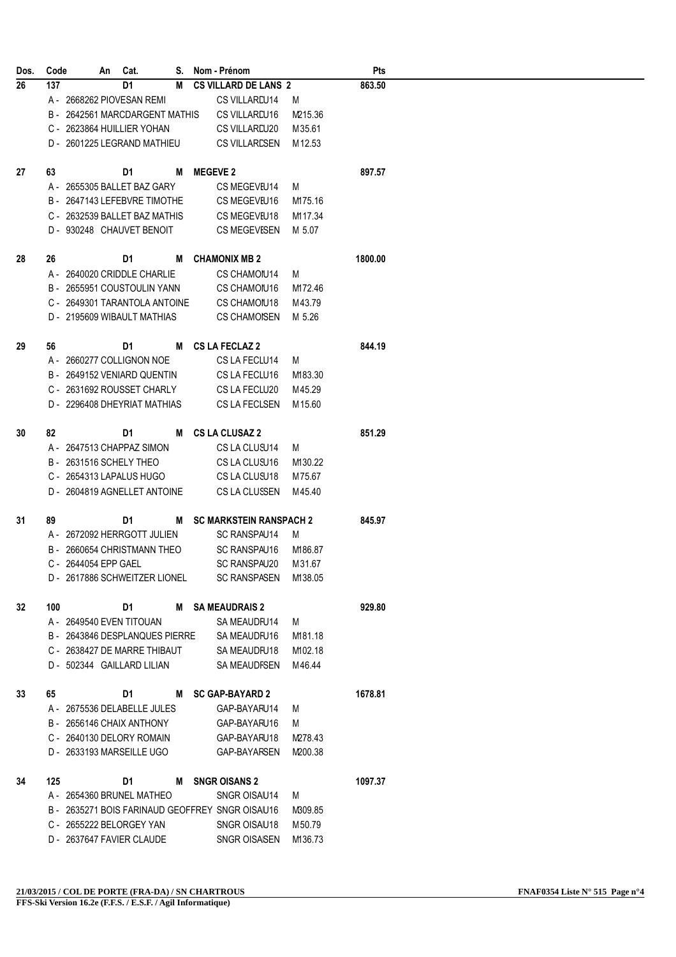| Dos. | Code |                      | An Cat.                        | S. | Nom - Prénom                                    |         | <b>Pts</b> |
|------|------|----------------------|--------------------------------|----|-------------------------------------------------|---------|------------|
| 26   | 137  |                      | D <sub>1</sub>                 | M  | <b>CS VILLARD DE LANS 2</b>                     |         | 863.50     |
|      |      |                      | A - 2668262 PIOVESAN REMI      |    | CS VILLAREU14                                   | M       |            |
|      |      |                      | B - 2642561 MARCDARGENT MATHIS |    | CS VILLAREU16                                   | M215.36 |            |
|      |      |                      | C - 2623864 HUILLIER YOHAN     |    | CS VILLAREU20                                   | M35.61  |            |
|      |      |                      | D - 2601225 LEGRAND MATHIEU    |    | <b>CS VILLARESEN</b>                            | M12.53  |            |
|      |      |                      |                                |    |                                                 |         |            |
| 27   | 63   |                      | D1                             | M  | <b>MEGEVE 2</b>                                 |         | 897.57     |
|      |      |                      | A - 2655305 BALLET BAZ GARY    |    | CS MEGEVEU14                                    | M       |            |
|      |      |                      | B - 2647143 LEFEBVRE TIMOTHE   |    | CS MEGEVEU16                                    | M175.16 |            |
|      |      |                      | C - 2632539 BALLET BAZ MATHIS  |    | CS MEGEVEU18                                    | M117.34 |            |
|      |      |                      | D - 930248 CHAUVET BENOIT      |    | <b>CS MEGEVESEN</b>                             | M 5.07  |            |
|      |      |                      |                                |    |                                                 |         |            |
| 28   | 26   |                      | D1                             | M  | <b>CHAMONIX MB 2</b>                            |         | 1800.00    |
|      |      |                      | A - 2640020 CRIDDLE CHARLIE    |    | <b>CS CHAMOIU14</b>                             | M       |            |
|      |      |                      | B - 2655951 COUSTOULIN YANN    |    | <b>CS CHAMOIU16</b>                             | M172.46 |            |
|      |      |                      | C - 2649301 TARANTOLA ANTOINE  |    | CS CHAMOIU18                                    | M43.79  |            |
|      |      |                      | D - 2195609 WIBAULT MATHIAS    |    | <b>CS CHAMOISEN</b>                             | M 5.26  |            |
|      |      |                      |                                |    |                                                 |         |            |
| 29   | 56   |                      | D1                             | M  | <b>CS LA FECLAZ 2</b>                           |         | 844.19     |
|      |      |                      | A - 2660277 COLLIGNON NOE      |    | CS LA FECLU14                                   | M       |            |
|      |      |                      | B - 2649152 VENIARD QUENTIN    |    | CS LA FECLU16                                   | M183.30 |            |
|      |      |                      | C - 2631692 ROUSSET CHARLY     |    | CS LA FECLU20                                   | M45.29  |            |
|      |      |                      | D - 2296408 DHEYRIAT MATHIAS   |    | CS LA FECLSEN                                   | M15.60  |            |
| 30   | 82   |                      | D1                             | М  | <b>CS LA CLUSAZ 2</b>                           |         | 851.29     |
|      |      |                      |                                |    |                                                 |         |            |
|      |      |                      | A - 2647513 CHAPPAZ SIMON      |    | CS LA CLUSU14                                   | M       |            |
|      |      |                      | B - 2631516 SCHELY THEO        |    | CS LA CLUSU16                                   | M130.22 |            |
|      |      |                      | C - 2654313 LAPALUS HUGO       |    | CS LA CLUSU18                                   | M75.67  |            |
|      |      |                      | D - 2604819 AGNELLET ANTOINE   |    | CS LA CLUSSEN                                   | M45.40  |            |
| 31   | 89   |                      | D1                             | м  | <b>SC MARKSTEIN RANSPACH 2</b>                  |         | 845.97     |
|      |      |                      | A - 2672092 HERRGOTT JULIEN    |    | SC RANSPAU14                                    | M       |            |
|      |      |                      | B - 2660654 CHRISTMANN THEO    |    | SC RANSPAU16                                    | M186.87 |            |
|      |      | C - 2644054 EPP GAEL |                                |    | SC RANSPAU20                                    | M31.67  |            |
|      |      |                      | D - 2617886 SCHWEITZER LIONEL  |    | <b>SC RANSPASEN</b>                             | M138.05 |            |
|      |      |                      |                                |    |                                                 |         |            |
| 32   | 100  |                      | D1                             |    | M SA MEAUDRAIS 2                                |         | 929.80     |
|      |      |                      | A - 2649540 EVEN TITOUAN       |    | SA MEAUDFU14                                    | M       |            |
|      |      |                      | B - 2643846 DESPLANQUES PIERRE |    | SA MEAUDFU16                                    | M181.18 |            |
|      |      |                      | C - 2638427 DE MARRE THIBAUT   |    | SA MEAUDFU18                                    | M102.18 |            |
|      |      |                      | D - 502344 GAILLARD LILIAN     |    | SA MEAUDFSEN                                    | M46.44  |            |
|      |      |                      |                                |    |                                                 |         |            |
| 33   | 65   |                      | D1                             |    | M SC GAP-BAYARD 2                               |         | 1678.81    |
|      |      |                      | A - 2675536 DELABELLE JULES    |    | GAP-BAYARU14                                    | M       |            |
|      |      |                      | B - 2656146 CHAIX ANTHONY      |    | GAP-BAYARU16                                    | M       |            |
|      |      |                      | C - 2640130 DELORY ROMAIN      |    | GAP-BAYARU18                                    | M278.43 |            |
|      |      |                      | D - 2633193 MARSEILLE UGO      |    | <b>GAP-BAYARSEN</b>                             | M200.38 |            |
|      |      |                      |                                |    |                                                 |         |            |
| 34   | 125  |                      | D1                             | M  | <b>SNGR OISANS 2</b>                            |         | 1097.37    |
|      |      |                      | A - 2654360 BRUNEL MATHEO      |    | SNGR OISAU14                                    | M       |            |
|      |      |                      |                                |    | B - 2635271 BOIS FARINAUD GEOFFREY SNGR OISAU16 | M309.85 |            |
|      |      |                      | C - 2655222 BELORGEY YAN       |    | SNGR OISAU18                                    | M50.79  |            |
|      |      |                      | D - 2637647 FAVIER CLAUDE      |    | SNGR OISASEN                                    | M136.73 |            |